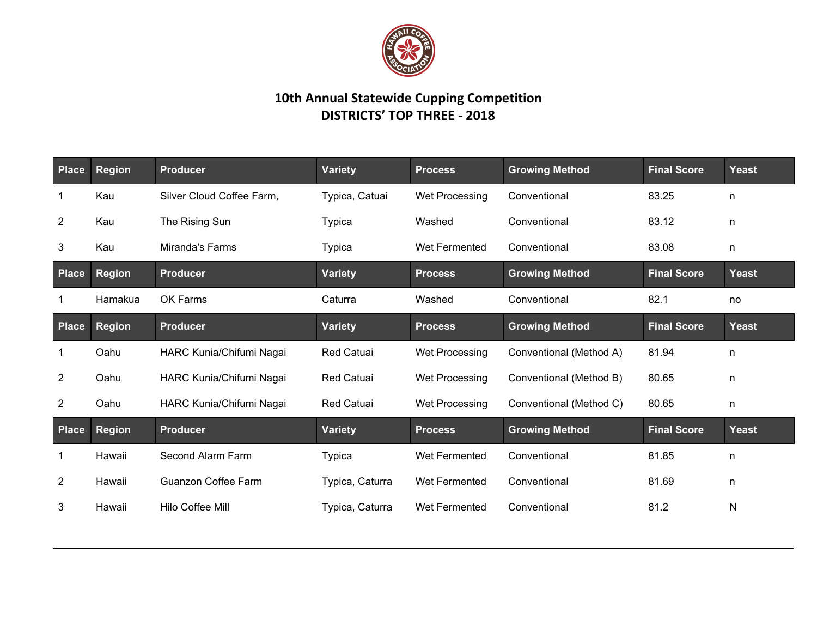

## **10th Annual Statewide Cupping Competition DISTRICTS' TOP THREE - 2018**

| Place          | <b>Region</b> | <b>Producer</b>            | <b>Variety</b>    | <b>Process</b>        | <b>Growing Method</b>   | <b>Final Score</b> | <b>Yeast</b> |
|----------------|---------------|----------------------------|-------------------|-----------------------|-------------------------|--------------------|--------------|
| $\mathbf 1$    | Kau           | Silver Cloud Coffee Farm,  | Typica, Catuai    | Wet Processing        | Conventional            | 83.25              | n            |
| $\overline{2}$ | Kau           | The Rising Sun             | <b>Typica</b>     | Washed                | Conventional            | 83.12              | n            |
| $\mathbf{3}$   | Kau           | Miranda's Farms            | <b>Typica</b>     | Wet Fermented         | Conventional            | 83.08              | n            |
| Place          | <b>Region</b> | <b>Producer</b>            | <b>Variety</b>    | <b>Process</b>        | <b>Growing Method</b>   | <b>Final Score</b> | Yeast        |
|                | Hamakua       | OK Farms                   | Caturra           | Washed                | Conventional            | 82.1               | no           |
| Place          | <b>Region</b> | <b>Producer</b>            | <b>Variety</b>    | <b>Process</b>        | <b>Growing Method</b>   | <b>Final Score</b> | <b>Yeast</b> |
| $\mathbf 1$    | Oahu          | HARC Kunia/Chifumi Nagai   | <b>Red Catuai</b> | <b>Wet Processing</b> | Conventional (Method A) | 81.94              | n            |
| $\overline{2}$ | Oahu          | HARC Kunia/Chifumi Nagai   | <b>Red Catuai</b> | Wet Processing        | Conventional (Method B) | 80.65              | n            |
| $\overline{2}$ | Oahu          | HARC Kunia/Chifumi Nagai   | <b>Red Catuai</b> | Wet Processing        | Conventional (Method C) | 80.65              | n            |
| Place          | <b>Region</b> | <b>Producer</b>            | <b>Variety</b>    | <b>Process</b>        | <b>Growing Method</b>   | <b>Final Score</b> | <b>Yeast</b> |
| 1              | Hawaii        | Second Alarm Farm          | <b>Typica</b>     | Wet Fermented         | Conventional            | 81.85              | n            |
| $\overline{2}$ | Hawaii        | <b>Guanzon Coffee Farm</b> | Typica, Caturra   | Wet Fermented         | Conventional            | 81.69              | n            |
| 3              | Hawaii        | Hilo Coffee Mill           | Typica, Caturra   | Wet Fermented         | Conventional            | 81.2               | N            |